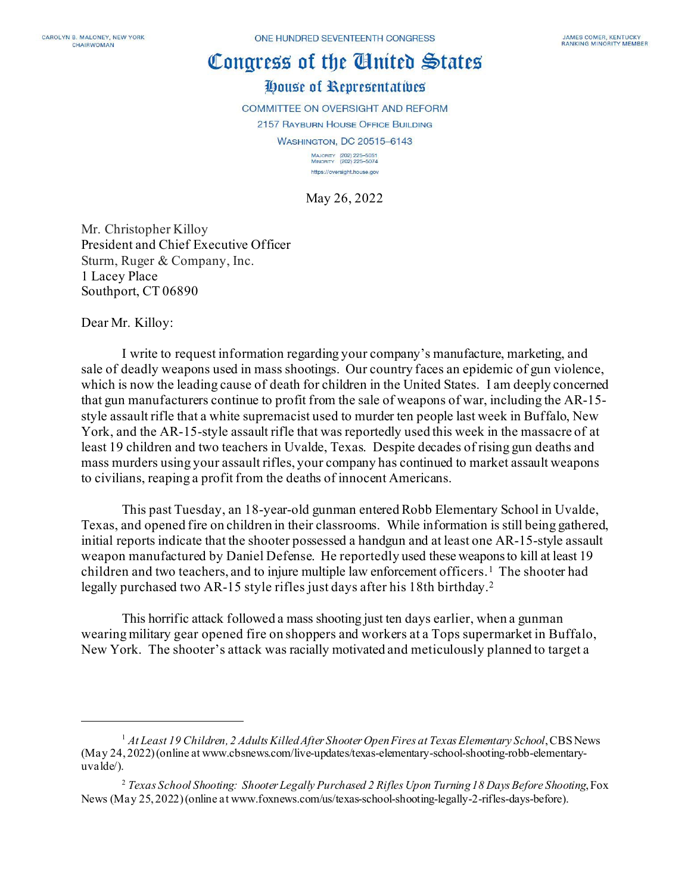# Congress of the Cinited States

# House of Representatives

**COMMITTEE ON OVERSIGHT AND REFORM** 2157 RAYBURN HOUSE OFFICE BUILDING

WASHINGTON, DC 20515-6143

MAJORITY (202) 225-5051<br>MINORITY (202) 225-5074 https://oversight.house.gov

May 26, 2022

Mr. Christopher Killoy President and Chief Executive Officer Sturm, Ruger & Company, Inc. 1 Lacey Place Southport, CT 06890

Dear Mr. Killoy:

I write to request information regarding your company's manufacture, marketing, and sale of deadly weapons used in mass shootings. Our country faces an epidemic of gun violence, which is now the leading cause of death for children in the United States. I am deeply concerned that gun manufacturers continue to profit from the sale of weapons of war, including the AR-15 style assault rifle that a white supremacist used to murder ten people last week in Buffalo, New York, and the AR-15-style assault rifle that was reportedly used this week in the massacre of at least 19 children and two teachers in Uvalde, Texas. Despite decades of rising gun deaths and mass murders using your assault rifles, your company has continued to market assault weapons to civilians, reaping a profit from the deaths of innocent Americans.

This past Tuesday, an 18-year-old gunman enteredRobb Elementary School in Uvalde, Texas, and opened fire on children in their classrooms. While information is still being gathered, initial reports indicate that the shooter possessed a handgun and at least one AR-15-style assault weapon manufactured by Daniel Defense. He reportedly used these weapons to kill at least 19 children and two teachers, and to injure multiple law enforcement officers. [1](#page-0-0) The shooter had legally purchased two AR-15 style rifles just days after his 18th birthday.[2](#page-0-1)

This horrific attack followed a mass shooting just ten days earlier, when a gunman wearing military gear opened fire on shoppers and workers at a Tops supermarket in Buffalo, New York. The shooter's attack was racially motivated and meticulously planned to target a

<span id="page-0-0"></span><sup>1</sup> *At Least 19 Children, 2 Adults Killed After Shooter Open Fires at Texas Elementary School*, CBS News (May 24, 2022) (online at www.cbsnews.com/live-updates/texas-elementary-school-shooting-robb-elementaryuvalde/).

<span id="page-0-1"></span><sup>2</sup> *Texas School Shooting: Shooter Legally Purchased 2 Rifles Upon Turning 18 Days Before Shooting*, Fox News (May 25, 2022) (online at www.foxnews.com/us/texas-school-shooting-legally-2-rifles-days-before).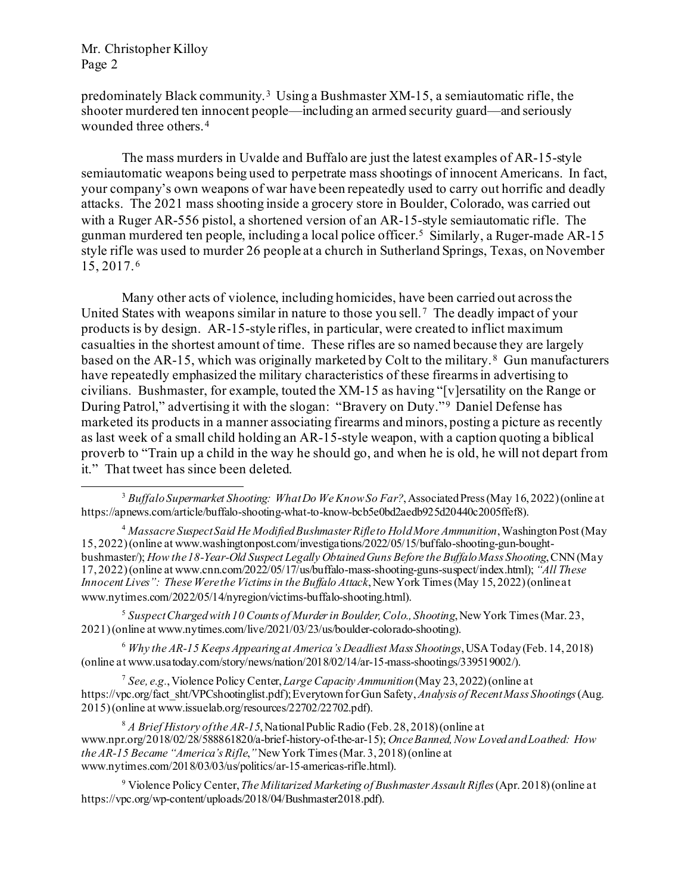predominately Black community. [3](#page-1-0) Using a Bushmaster XM-15, a semiautomatic rifle, the shooter murdered ten innocent people—including an armed security guard—and seriously wounded three others.[4](#page-1-1) 

The mass murders in Uvalde and Buffalo are just the latest examples of AR-15-style semiautomatic weapons being used to perpetrate mass shootings of innocent Americans. In fact, your company's own weapons of war have been repeatedly used to carry out horrific and deadly attacks. The 2021 mass shooting inside a grocery store in Boulder, Colorado, was carried out with a Ruger AR-556 pistol, a shortened version of an AR-15-style semiautomatic rifle. The gunman murdered ten people, including a local police officer.[5](#page-1-2) Similarly, a Ruger-made AR-15 style rifle was used to murder 26 people at a church in Sutherland Springs, Texas, on November 15, 2017. [6](#page-1-3)

Many other acts of violence, including homicides, have been carried out across the United States with weapons similar in nature to those you sell.[7](#page-1-4) The deadly impact of your products is by design. AR-15-style rifles, in particular, were created to inflict maximum casualties in the shortest amount of time. These rifles are so named because they are largely based on the AR-15, which was originally marketed by Colt to the military. [8](#page-1-5) Gun manufacturers have repeatedly emphasized the military characteristics of these firearmsin advertising to civilians. Bushmaster, for example, touted the XM-15 as having "[v]ersatility on the Range or During Patrol," advertising it with the slogan: "Bravery on Duty."<sup>[9](#page-1-6)</sup> Daniel Defense has marketed its products in a manner associating firearms and minors, posting a picture as recently as last week of a small child holding an AR-15-style weapon, with a caption quoting a biblical proverb to "Train up a child in the way he should go, and when he is old, he will not depart from it." That tweet has since been deleted.

<span id="page-1-2"></span><sup>5</sup> *Suspect Charged with 10 Counts of Murder in Boulder, Colo., Shooting*, New York Times (Mar. 23, 2021) (online at www.nytimes.com/live/2021/03/23/us/boulder-colorado-shooting).

<span id="page-1-3"></span><sup>6</sup> *Why the AR-15 Keeps Appearing at America's Deadliest Mass Shootings*, USAToday (Feb. 14, 2018) (online at www.usatoday.com/story/news/nation/2018/02/14/ar-15-mass-shootings/339519002/).

<span id="page-1-4"></span><sup>7</sup> *See, e.g.*, Violence Policy Center, *Large Capacity Ammunition*(May 23, 2022) (online at https://vpc.org/fact\_sht/VPCshootinglist.pdf); Everytown for Gun Safety,*Analysis of Recent Mass Shootings*(Aug. 2015) (online at www.issuelab.org/resources/22702/22702.pdf).

<span id="page-1-5"></span><sup>8</sup> *A Brief History of the AR-15*, National Public Radio (Feb. 28, 2018) (online at www.npr.org/2018/02/28/588861820/a-brief-history-of-the-ar-15); *Once Banned, Now Loved and Loathed: How the AR-15 Became "America's Rifle*,*"*New York Times (Mar. 3, 2018) (online at www.nytimes.com/2018/03/03/us/politics/ar-15-americas-rifle.html).

<span id="page-1-6"></span><sup>9</sup> Violence Policy Center, *The Militarized Marketing of Bushmaster Assault Rifles*(Apr. 2018) (online at https://vpc.org/wp-content/uploads/2018/04/Bushmaster2018.pdf).

<span id="page-1-0"></span><sup>3</sup> *Buffalo Supermarket Shooting: What Do We Know So Far?*, Associated Press (May 16, 2022) (online at https://apnews.com/article/buffalo-shooting-what-to-know-bcb5e0bd2aedb925d20440c2005ffef8).

<span id="page-1-1"></span><sup>4</sup> *Massacre Suspect Said He Modified Bushmaster Rifle to Hold More Ammunition*, Washington Post (May 15, 2022) (online at www.washingtonpost.com/investigations/2022/05/15/buffalo-shooting-gun-boughtbushmaster/); *How the 18-Year-Old Suspect Legally Obtained Guns Before the Buffalo Mass Shooting*, CNN (May 17, 2022) (online at www.cnn.com/2022/05/17/us/buffalo-mass-shooting-guns-suspect/index.html); *"All These Innocent Lives": These Were the Victims in the Buffalo Attack*, New York Times (May 15, 2022) (online at www.nytimes.com/2022/05/14/nyregion/victims-buffalo-shooting.html).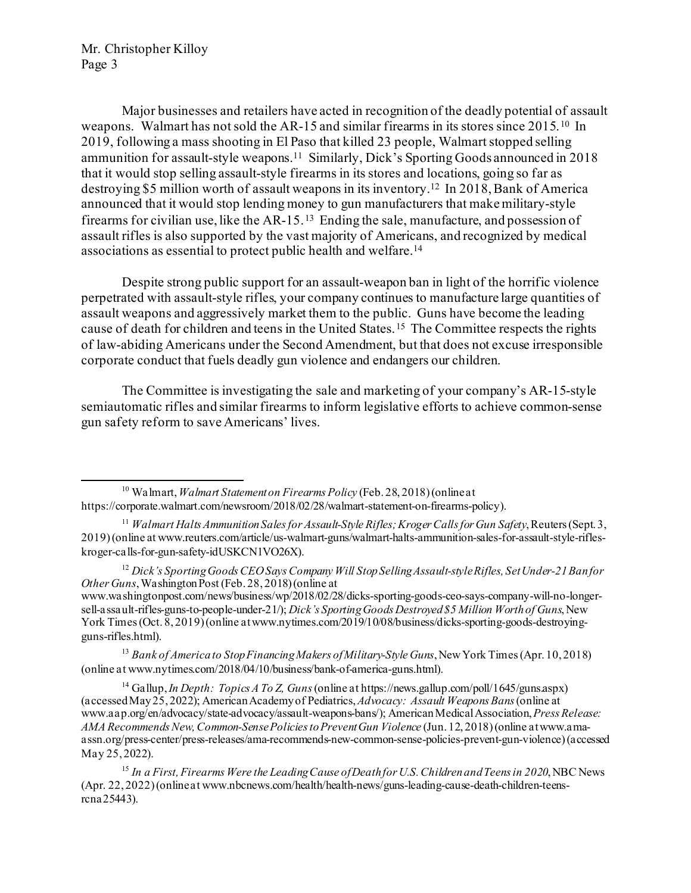Major businesses and retailers have acted in recognition of the deadly potential of assault weapons. Walmart has not sold the AR-15 and similar firearms in its stores since 2015.[10](#page-2-0) In 2019, following a mass shooting in El Paso that killed 23 people, Walmart stopped selling ammunition for assault-style weapons.[11](#page-2-1) Similarly, Dick's Sporting Goods announced in 2018 that it would stop selling assault-style firearms in its stores and locations, going so far as destroying \$5 million worth of assault weapons in its inventory.[12](#page-2-2) In 2018, Bank of America announced that it would stop lending money to gun manufacturers that make military-style firearms for civilian use, like the AR-15. [13](#page-2-3) Ending the sale, manufacture, and possession of assault rifles is also supported by the vast majority of Americans, and recognized by medical associations as essential to protect public health and welfare[.14](#page-2-4)

Despite strong public support for an assault-weapon ban in light of the horrific violence perpetrated with assault-style rifles, your company continues to manufacture large quantities of assault weapons and aggressively market them to the public. Guns have become the leading cause of death for children and teens in the United States.[15](#page-2-5) The Committee respects the rights of law-abiding Americans under the Second Amendment, but that does not excuse irresponsible corporate conduct that fuels deadly gun violence and endangers our children.

The Committee is investigating the sale and marketing of your company's AR-15-style semiautomatic rifles and similar firearms to inform legislative efforts to achieve common-sense gun safety reform to save Americans' lives.

www.washingtonpost.com/news/business/wp/2018/02/28/dicks-sporting-goods-ceo-says-company-will-no-longersell-assault-rifles-guns-to-people-under-21/); *Dick's Sporting Goods Destroyed \$5 Million Worth of Guns*, New York Times (Oct. 8, 2019) (online at www.nytimes.com/2019/10/08/business/dicks-sporting-goods-destroyingguns-rifles.html).

<span id="page-2-3"></span><sup>13</sup> *Bank of America to Stop Financing Makers of Military-Style Guns*, New York Times (Apr. 10, 2018) (online at www.nytimes.com/2018/04/10/business/bank-of-america-guns.html).

<span id="page-2-4"></span><sup>14</sup> Gallup, *In Depth: Topics A To Z, Guns*(online at https://news.gallup.com/poll/1645/guns.aspx) (accessed May 25, 2022); American Academy of Pediatrics, *Advocacy: Assault Weapons Bans*(online at www.aap.org/en/advocacy/state-advocacy/assault-weapons-bans/); American Medical Association, *Press Release: AMA Recommends New, Common-Sense Policies to Prevent Gun Violence* (Jun. 12, 2018) (online at www.amaassn.org/press-center/press-releases/ama-recommends-new-common-sense-policies-prevent-gun-violence)(accessed May 25, 2022).

<span id="page-2-0"></span><sup>10</sup> Walmart,*Walmart Statement on Firearms Policy* (Feb. 28, 2018) (online at https://corporate.walmart.com/newsroom/2018/02/28/walmart-statement-on-firearms-policy).

<span id="page-2-1"></span><sup>11</sup> *Walmart Halts Ammunition Sales for Assault-Style Rifles; Kroger Calls for Gun Safety*, Reuters (Sept. 3, 2019) (online at www.reuters.com/article/us-walmart-guns/walmart-halts-ammunition-sales-for-assault-style-rifleskroger-calls-for-gun-safety-idUSKCN1VO26X).

<span id="page-2-2"></span><sup>12</sup> *Dick's Sporting Goods CEO Says Company Will Stop Selling Assault-style Rifles, Set Under-21 Ban for Other Guns*, Washington Post (Feb. 28, 2018) (online at

<span id="page-2-5"></span><sup>15</sup> *In a First, Firearms Were the Leading Cause of Death for U.S. Children and Teens in 2020*, NBC News (Apr. 22, 2022) (online at www.nbcnews.com/health/health-news/guns-leading-cause-death-children-teensrcna25443).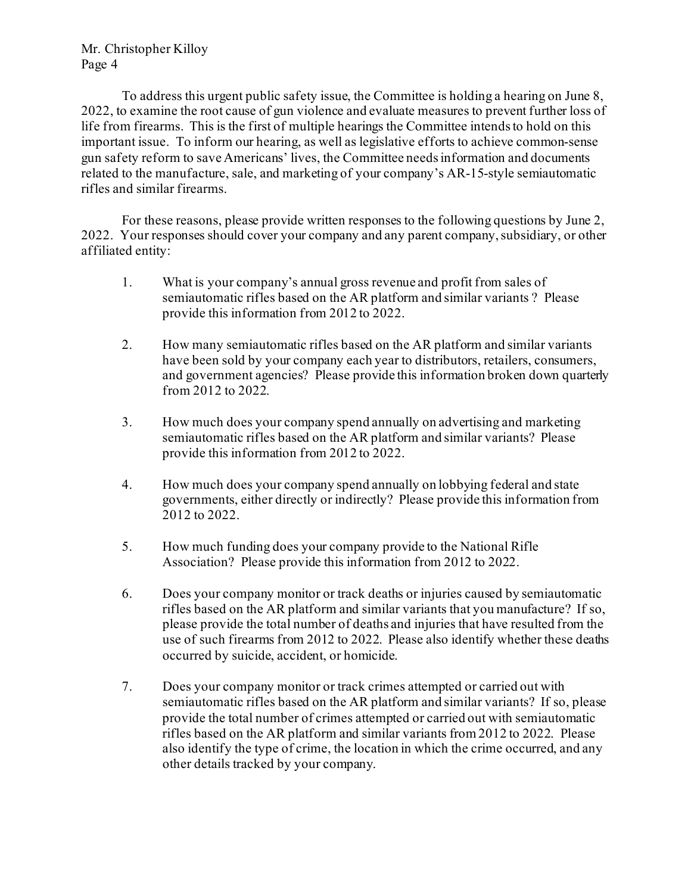To address this urgent public safety issue, the Committee is holding a hearing on June 8, 2022, to examine the root cause of gun violence and evaluate measures to prevent further loss of life from firearms. This is the first of multiple hearings the Committee intends to hold on this important issue. To inform our hearing, as well as legislative efforts to achieve common-sense gun safety reform to save Americans' lives, the Committee needs information and documents related to the manufacture, sale, and marketing of your company's AR-15-style semiautomatic rifles and similar firearms.

For these reasons, please provide written responses to the following questions by June 2, 2022. Your responses should cover your company and any parent company, subsidiary, or other affiliated entity:

- 1. What is your company's annual gross revenue and profit from sales of semiautomatic rifles based on the AR platform and similar variants ? Please provide this information from 2012 to 2022.
- 2. How many semiautomatic rifles based on the AR platform and similar variants have been sold by your company each year to distributors, retailers, consumers, and government agencies? Please provide this information broken down quarterly from 2012 to 2022.
- 3. How much does your company spend annually on advertising and marketing semiautomatic rifles based on the AR platform and similar variants? Please provide this information from 2012 to 2022.
- 4. How much does your company spend annually on lobbying federal and state governments, either directly or indirectly? Please provide this information from 2012 to 2022.
- 5. How much funding does your company provide to the National Rifle Association? Please provide this information from 2012 to 2022.
- 6. Does your company monitor or track deaths or injuries caused by semiautomatic rifles based on the AR platform and similar variants that you manufacture? If so, please provide the total number of deaths and injuries that have resulted from the use of such firearms from 2012 to 2022. Please also identify whether these deaths occurred by suicide, accident, or homicide.
- 7. Does your company monitor or track crimes attempted or carried out with semiautomatic rifles based on the AR platform and similar variants? If so, please provide the total number of crimes attempted or carried out with semiautomatic rifles based on the AR platform and similar variants from 2012 to 2022. Please also identify the type of crime, the location in which the crime occurred, and any other details tracked by your company.